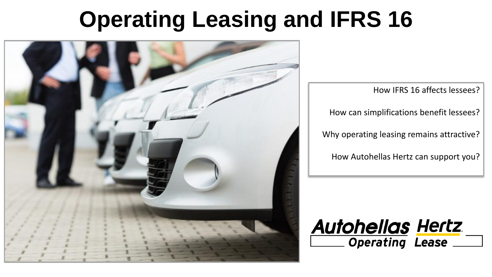# **Operating Leasing and IFRS 16**



How IFRS 16 affects lessees?

How can simplifications benefit lessees?

Why operating leasing remains attractive?

How Autohellas Hertz can support you?

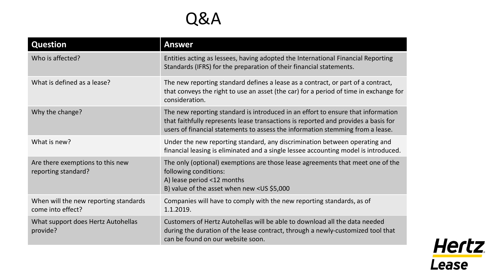

| <b>Question</b>                                            | <b>Answer</b>                                                                                                                                                                                                                                            |
|------------------------------------------------------------|----------------------------------------------------------------------------------------------------------------------------------------------------------------------------------------------------------------------------------------------------------|
| Who is affected?                                           | Entities acting as lessees, having adopted the International Financial Reporting<br>Standards (IFRS) for the preparation of their financial statements.                                                                                                  |
| What is defined as a lease?                                | The new reporting standard defines a lease as a contract, or part of a contract,<br>that conveys the right to use an asset (the car) for a period of time in exchange for<br>consideration.                                                              |
| Why the change?                                            | The new reporting standard is introduced in an effort to ensure that information<br>that faithfully represents lease transactions is reported and provides a basis for<br>users of financial statements to assess the information stemming from a lease. |
| What is new?                                               | Under the new reporting standard, any discrimination between operating and<br>financial leasing is eliminated and a single lessee accounting model is introduced.                                                                                        |
| Are there exemptions to this new<br>reporting standard?    | The only (optional) exemptions are those lease agreements that meet one of the<br>following conditions:<br>A) lease period <12 months<br>B) value of the asset when new <us \$5,000<="" td=""></us>                                                      |
| When will the new reporting standards<br>come into effect? | Companies will have to comply with the new reporting standards, as of<br>1.1.2019.                                                                                                                                                                       |
| What support does Hertz Autohellas<br>provide?             | Customers of Hertz Autohellas will be able to download all the data needed<br>during the duration of the lease contract, through a newly-customized tool that<br>can be found on our website soon.                                                       |

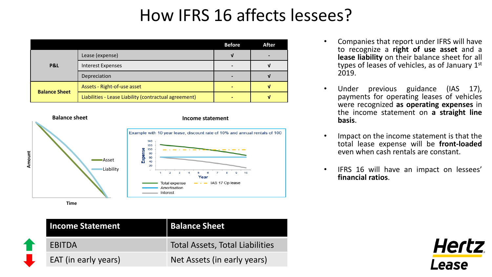## How IFRS 16 affects lessees?

|                      |                                                       | <b>Before</b> | After |
|----------------------|-------------------------------------------------------|---------------|-------|
| P&L                  | Lease (expense)                                       |               |       |
|                      | <b>Interest Expenses</b>                              |               |       |
|                      | Depreciation                                          |               |       |
| <b>Balance Sheet</b> | Assets - Right-of-use asset                           |               |       |
|                      | Liabilities - Lease Liability (contractual agreement) |               |       |



| <b>Income Statement</b> | <b>Balance Sheet</b>            |
|-------------------------|---------------------------------|
| EBITDA                  | Total Assets, Total Liabilities |
| EAT (in early years)    | Net Assets (in early years)     |

- Companies that report under IFRS will have to recognize a **right of use asset** and a **lease liability** on their balance sheet for all types of leases of vehicles, as of January 1st 2019.
- Under previous guidance (IAS 17), payments for operating leases of vehicles were recognized **as operating expenses** in the income statement on **a straight line basis**.
- Impact on the income statement is that the total lease expense will be **front-loaded** even when cash rentals are constant.
- IFRS 16 will have an impact on lessees' **financial ratios**.

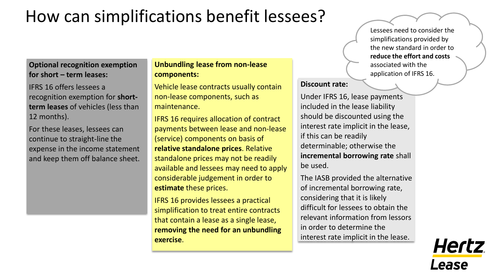### How can simplifications benefit lessees?

### **Optional recognition exemption for short – term leases:**

IFRS 16 offers lessees a recognition exemption for **shortterm leases** of vehicles (less than 12 months).

For these leases, lessees can continue to straight-line the expense in the income statement and keep them off balance sheet.

#### **Unbundling lease from non-lease components:**

Vehicle lease contracts usually contain non-lease components, such as maintenance.

IFRS 16 requires allocation of contract payments between lease and non-lease (service) components on basis of **relative standalone prices**. Relative standalone prices may not be readily available and lessees may need to apply considerable judgement in order to **estimate** these prices.

IFRS 16 provides lessees a practical simplification to treat entire contracts that contain a lease as a single lease, **removing the need for an unbundling exercise**.

Lessees need to consider the simplifications provided by the new standard in order to **reduce the effort and costs**  associated with the application of IFRS 16.

#### **Discount rate:**

Under IFRS 16, lease payments included in the lease liability should be discounted using the interest rate implicit in the lease, if this can be readily determinable; otherwise the **incremental borrowing rate** shall be used.

The IASB provided the alternative of incremental borrowing rate, considering that it is likely difficult for lessees to obtain the relevant information from lessors in order to determine the interest rate implicit in the lease.

*Hertz* ease